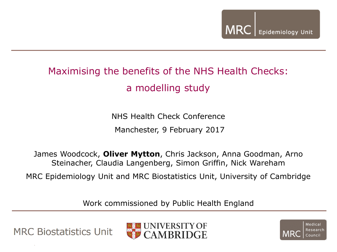### Maximising the benefits of the NHS Health Checks: a modelling study

NHS Health Check Conference Manchester, 9 February 2017

James Woodcock, **Oliver Mytton**, Chris Jackson, Anna Goodman, Arno Steinacher, Claudia Langenberg, Simon Griffin, Nick Wareham

MRC Epidemiology Unit and MRC Biostatistics Unit, University of Cambridge

Work commissioned by Public Health England



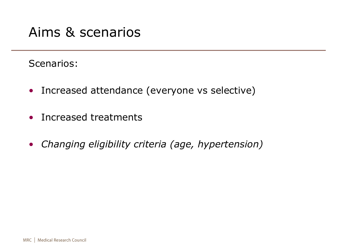### Aims & scenarios

#### Scenarios:

- Increased attendance (everyone vs selective)
- Increased treatments
- *Changing eligibility criteria (age, hypertension)*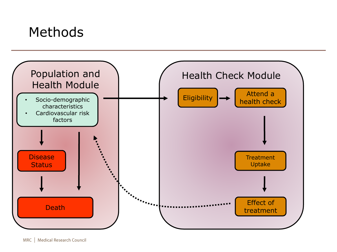### Methods

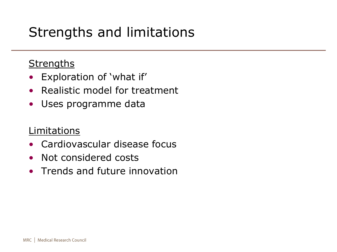# Strengths and limitations

#### **Strengths**

- Exploration of 'what if'
- Realistic model for treatment
- Uses programme data

#### Limitations

- Cardiovascular disease focus
- Not considered costs
- Trends and future innovation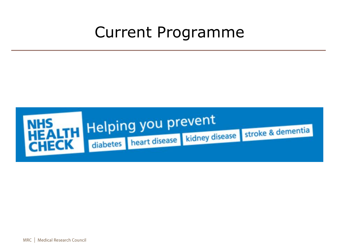# Current Programme

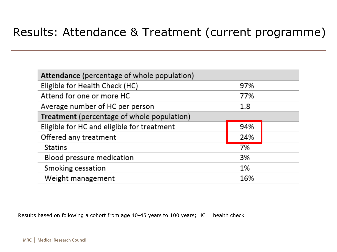#### Results: Attendance & Treatment (current programme)

| Attendance (percentage of whole population) |     |
|---------------------------------------------|-----|
| Eligible for Health Check (HC)              | 97% |
| Attend for one or more HC                   | 77% |
| Average number of HC per person             | 1.8 |
| Treatment (percentage of whole population)  |     |
| Eligible for HC and eligible for treatment  | 94% |
| Offered any treatment                       | 24% |
| <b>Statins</b>                              | 7%  |
| Blood pressure medication                   | 3%  |
| Smoking cessation                           | 1%  |
| Weight management                           | 16% |

Results based on following a cohort from age 40-45 years to 100 years; HC = health check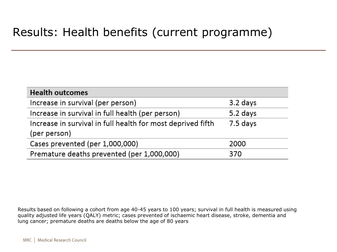#### Results: Health benefits (current programme)

| <b>Health outcomes</b>                                                      |          |
|-----------------------------------------------------------------------------|----------|
| Increase in survival (per person)                                           | 3.2 days |
| Increase in survival in full health (per person)                            | 5.2 days |
| Increase in survival in full health for most deprived fifth<br>(per person) | 7.5 days |
| Cases prevented (per 1,000,000)                                             | 2000     |
| Premature deaths prevented (per 1,000,000)                                  | 370      |

Results based on following a cohort from age 40-45 years to 100 years; survival in full health is measured using quality adjusted life years (QALY) metric; cases prevented of ischaemic heart disease, stroke, dementia and lung cancer; premature deaths are deaths below the age of 80 years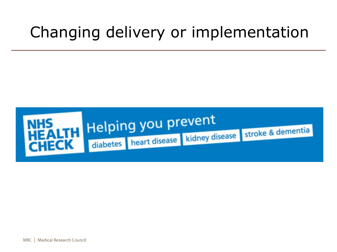# Changing delivery or implementation

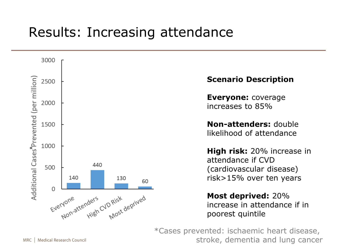## Results: Increasing attendance



#### **Scenario Description**

**Everyone:** coverage increases to 85%

**Non-attenders:** double likelihood of attendance

**High risk:** 20% increase in attendance if CVD (cardiovascular disease) risk>15% over ten years

**Most deprived:** 20% increase in attendance if in poorest quintile

\*Cases prevented: ischaemic heart disease, stroke, dementia and lung cancer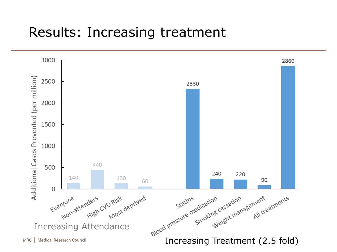### Results: Increasing treatment

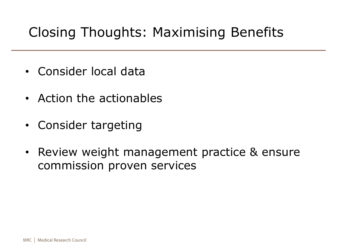# Closing Thoughts: Maximising Benefits

- Consider local data
- Action the actionables
- Consider targeting
- Review weight management practice & ensure commission proven services